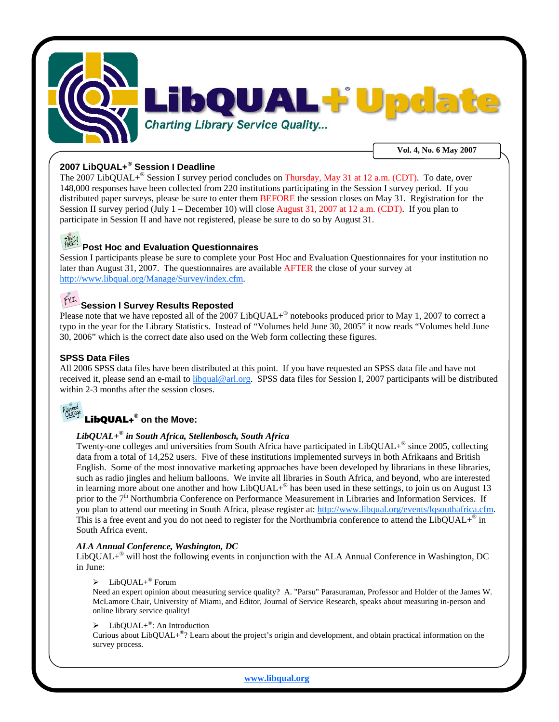

#### **2007 LibQUAL+® Session I Deadline**

The 2007 LibQUAL+<sup>®</sup> Session I survey period concludes on Thursday, May 31 at 12 a.m. (CDT). To date, over 148,000 responses have been collected from 220 institutions participating in the Session I survey period. If you distributed paper surveys, please be sure to enter them BEFORE the session closes on May 31. Registration for the Session II survey period (July 1 – December 10) will close August 31, 2007 at 12 a.m. (CDT). If you plan to participate in Session II and have not registered, please be sure to do so by August 31.

## **Post Hoc and Evaluation Questionnaires**

Session I participants please be sure to complete your Post Hoc and Evaluation Questionnaires for your institution no later than August 31, 2007. The questionnaires are available AFTER the close of your survey at http://www.libqual.org/Manage/Survey/index.cfm.

#### $f(YI)$ **Session I Survey Results Reposted**

Please note that we have reposted all of the 2007 LibQUAL+® notebooks produced prior to May 1, 2007 to correct a typo in the year for the Library Statistics. Instead of "Volumes held June 30, 2005" it now reads "Volumes held June 30, 2006" which is the correct date also used on the Web form collecting these figures.

#### **SPSS Data Files**

All 2006 SPSS data files have been distributed at this point. If you have requested an SPSS data file and have not received it, please send an e-mail to libqual@arl.org. SPSS data files for Session I, 2007 participants will be distributed within 2-3 months after the session closes.

# LibQUAL+**® on the Move:**

### *LibQUAL+® in South Africa, Stellenbosch, South Africa*

Twenty-one colleges and universities from South Africa have participated in LibQUAL+® since 2005, collecting data from a total of 14,252 users. Five of these institutions implemented surveys in both Afrikaans and British English. Some of the most innovative marketing approaches have been developed by librarians in these libraries, such as radio jingles and helium balloons. We invite all libraries in South Africa, and beyond, who are interested in learning more about one another and how LibQUAL $+^{\circ}$  has been used in these settings, to join us on August 13 prior to the 7<sup>th</sup> Northumbria Conference on Performance Measurement in Libraries and Information Services. If you plan to attend our meeting in South Africa, please register at: http://www.libqual.org/events/lqsouthafrica.cfm. This is a free event and you do not need to register for the Northumbria conference to attend the LibQUAL+<sup>®</sup> in South Africa event.

#### *ALA Annual Conference, Washington, DC*

LibQUAL+® will host the following events in conjunction with the ALA Annual Conference in Washington, DC in June:

 $\blacktriangleright$  LibQUAL+<sup>®</sup> Forum

Need an expert opinion about measuring service quality? A. "Parsu" Parasuraman, Professor and Holder of the James W. McLamore Chair, University of Miami, and Editor, Journal of Service Research, speaks about measuring in-person and online library service quality!

#### $\triangleright$  LibQUAL+<sup>®</sup>: An Introduction

Curious about LibQUAL+<sup>®</sup>? Learn about the project's origin and development, and obtain practical information on the survey process.